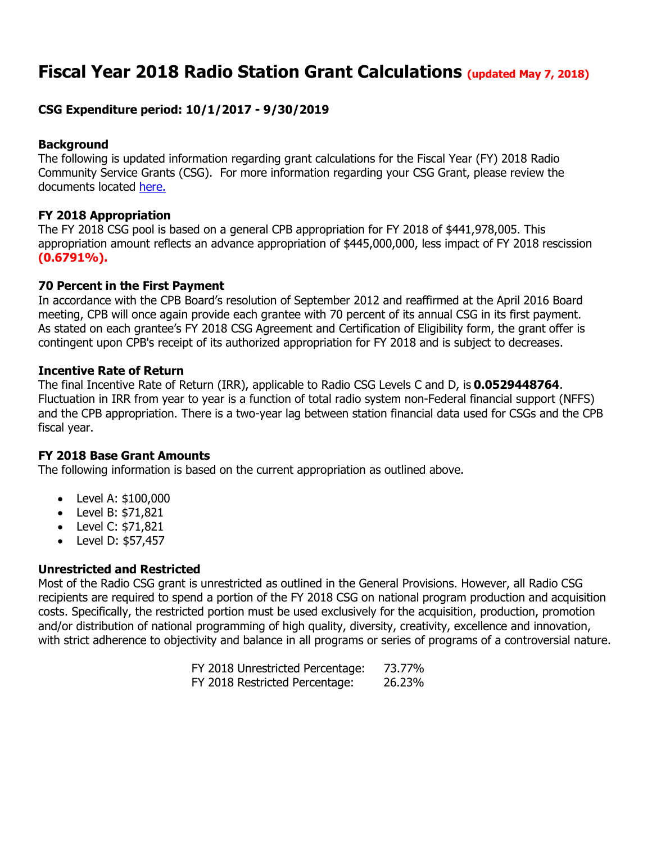# **Fiscal Year 2018 Radio Station Grant Calculations (updated May 7, 2018)**

# **CSG Expenditure period: 10/1/2017 - 9/30/2019**

## **Background**

The following is updated information regarding grant calculations for the Fiscal Year (FY) 2018 Radio Community Service Grants (CSG). For more information regarding your CSG Grant, please review the documents located [here.](https://www.cpb.org/stations)

## **FY 2018 Appropriation**

The FY 2018 CSG pool is based on a general CPB appropriation for FY 2018 of \$441,978,005. This appropriation amount reflects an advance appropriation of \$445,000,000, less impact of FY 2018 rescission **(0.6791%).**

## **70 Percent in the First Payment**

In accordance with the CPB Board's resolution of September 2012 and reaffirmed at the April 2016 Board meeting, CPB will once again provide each grantee with 70 percent of its annual CSG in its first payment. As stated on each grantee's FY 2018 CSG Agreement and Certification of Eligibility form, the grant offer is contingent upon CPB's receipt of its authorized appropriation for FY 2018 and is subject to decreases.

#### **Incentive Rate of Return**

The final Incentive Rate of Return (IRR), applicable to Radio CSG Levels C and D, is **0.0529448764**. Fluctuation in IRR from year to year is a function of total radio system non-Federal financial support (NFFS) and the CPB appropriation. There is a two-year lag between station financial data used for CSGs and the CPB fiscal year.

#### **FY 2018 Base Grant Amounts**

The following information is based on the current appropriation as outlined above.

- Level A: \$100,000
- Level B: \$71,821
- Level C: \$71,821
- Level D: \$57,457

# **Unrestricted and Restricted**

Most of the Radio CSG grant is unrestricted as outlined in the General Provisions. However, all Radio CSG recipients are required to spend a portion of the FY 2018 CSG on national program production and acquisition costs. Specifically, the restricted portion must be used exclusively for the acquisition, production, promotion and/or distribution of national programming of high quality, diversity, creativity, excellence and innovation, with strict adherence to objectivity and balance in all programs or series of programs of a controversial nature.

|  | FY 2018 Unrestricted Percentage: | 73.77% |
|--|----------------------------------|--------|
|  | FY 2018 Restricted Percentage:   | 26.23% |